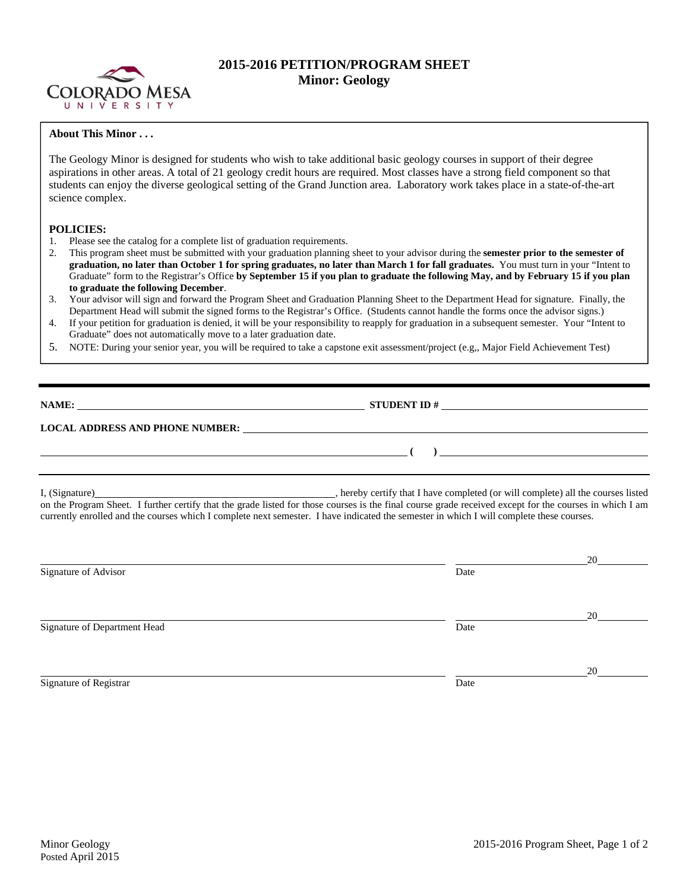

## **2015-2016 PETITION/PROGRAM SHEET Minor: Geology**

## **About This Minor . . .**

The Geology Minor is designed for students who wish to take additional basic geology courses in support of their degree aspirations in other areas. A total of 21 geology credit hours are required. Most classes have a strong field component so that students can enjoy the diverse geological setting of the Grand Junction area. Laboratory work takes place in a state-of-the-art science complex.

## **POLICIES:**

- 1. Please see the catalog for a complete list of graduation requirements.
- 2. This program sheet must be submitted with your graduation planning sheet to your advisor during the **semester prior to the semester of graduation, no later than October 1 for spring graduates, no later than March 1 for fall graduates.** You must turn in your "Intent to Graduate" form to the Registrar's Office **by September 15 if you plan to graduate the following May, and by February 15 if you plan to graduate the following December**.
- 3. Your advisor will sign and forward the Program Sheet and Graduation Planning Sheet to the Department Head for signature. Finally, the Department Head will submit the signed forms to the Registrar's Office. (Students cannot handle the forms once the advisor signs.)
- 4. If your petition for graduation is denied, it will be your responsibility to reapply for graduation in a subsequent semester. Your "Intent to Graduate" does not automatically move to a later graduation date.
- 5. NOTE: During your senior year, you will be required to take a capstone exit assessment/project (e.g,, Major Field Achievement Test)

**NAME: STUDENT ID #** 

 **( )** 

## **LOCAL ADDRESS AND PHONE NUMBER:**

I, (Signature) hereby certify that I have completed (or will complete) all the courses listed on the Program Sheet. I further certify that the grade listed for those courses is the final course grade received except for the courses in which I am currently enrolled and the courses which I complete next semester. I have indicated the semester in which I will complete these courses.

|                              |      | 20 |
|------------------------------|------|----|
| Signature of Advisor         | Date |    |
|                              |      | 20 |
| Signature of Department Head | Date |    |
|                              |      | 20 |
| Signature of Registrar       | Date |    |